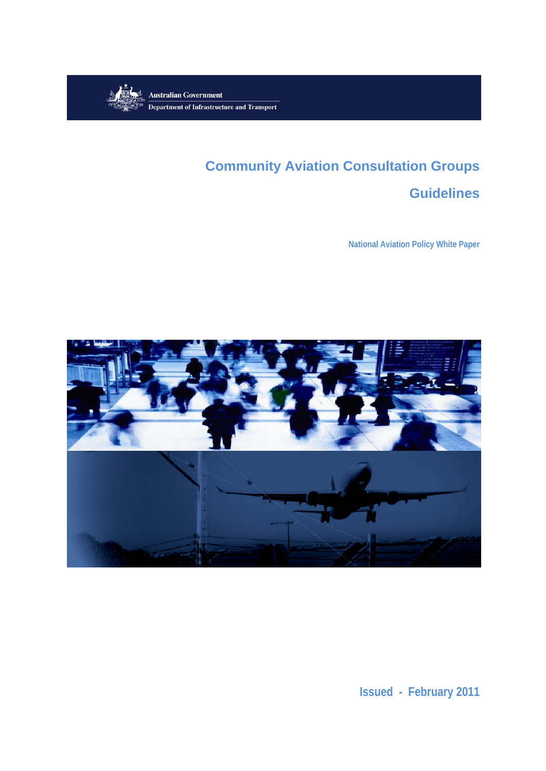

# **Community Aviation Consultation Groups**

## **Guidelines**

**National Aviation Policy White Paper** 



**Issued - February 2011**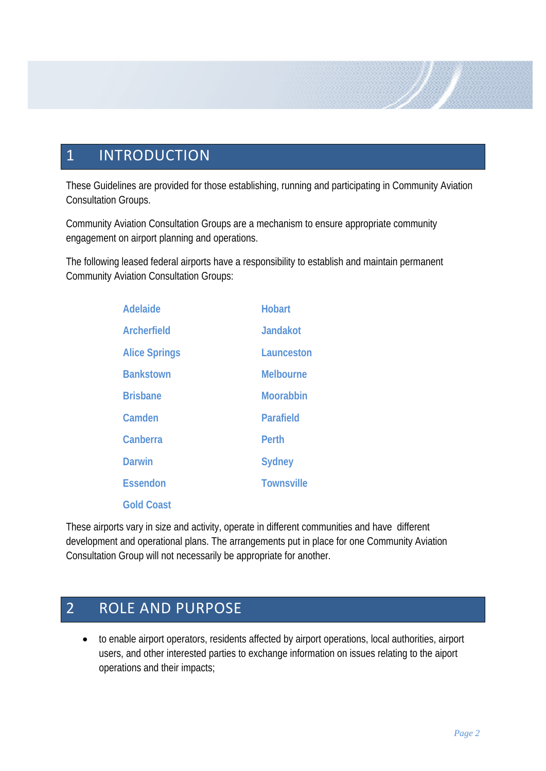## 1 INTRODUCTION

These Guidelines are provided for those establishing, running and participating in Community Aviation Consultation Groups.

Community Aviation Consultation Groups are a mechanism to ensure appropriate community engagement on airport planning and operations.

The following leased federal airports have a responsibility to establish and maintain permanent Community Aviation Consultation Groups:

| <b>Adelaide</b>      | <b>Hobart</b>     |
|----------------------|-------------------|
| <b>Archerfield</b>   | <b>Jandakot</b>   |
| <b>Alice Springs</b> | Launceston        |
| <b>Bankstown</b>     | <b>Melbourne</b>  |
| <b>Brisbane</b>      | <b>Moorabbin</b>  |
| Camden               | <b>Parafield</b>  |
| Canberra             | <b>Perth</b>      |
| <b>Darwin</b>        | <b>Sydney</b>     |
| <b>Essendon</b>      | <b>Townsville</b> |
| <b>Gold Coast</b>    |                   |

These airports vary in size and activity, operate in different communities and have different development and operational plans. The arrangements put in place for one Community Aviation Consultation Group will not necessarily be appropriate for another.

## 2 ROLE AND PURPOSE

• to enable airport operators, residents affected by airport operations, local authorities, airport users, and other interested parties to exchange information on issues relating to the aiport operations and their impacts;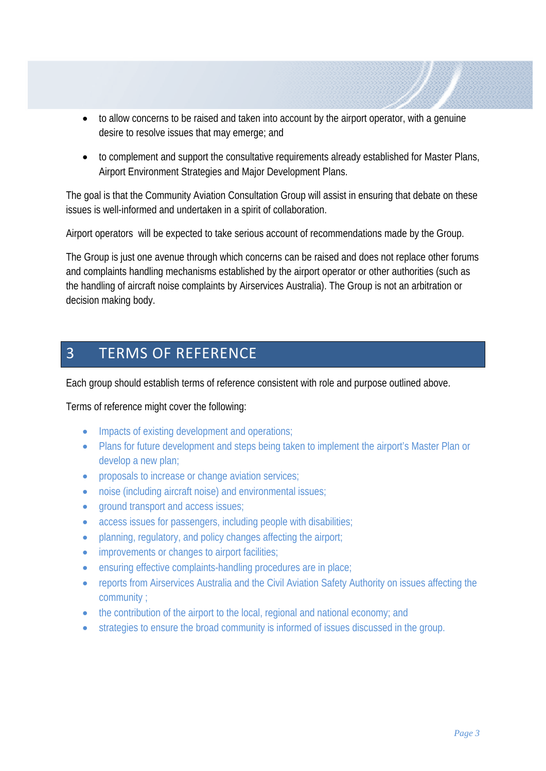- to allow concerns to be raised and taken into account by the airport operator, with a genuine desire to resolve issues that may emerge; and
- to complement and support the consultative requirements already established for Master Plans, Airport Environment Strategies and Major Development Plans.

The goal is that the Community Aviation Consultation Group will assist in ensuring that debate on these issues is well-informed and undertaken in a spirit of collaboration.

Airport operators will be expected to take serious account of recommendations made by the Group.

The Group is just one avenue through which concerns can be raised and does not replace other forums and complaints handling mechanisms established by the airport operator or other authorities (such as the handling of aircraft noise complaints by Airservices Australia). The Group is not an arbitration or decision making body.

## 3 TERMS OF REFERENCE

Each group should establish terms of reference consistent with role and purpose outlined above.

### Terms of reference might cover the following:

- Impacts of existing development and operations;
- Plans for future development and steps being taken to implement the airport's Master Plan or develop a new plan;
- proposals to increase or change aviation services;
- noise (including aircraft noise) and environmental issues;
- ground transport and access issues:
- access issues for passengers, including people with disabilities;
- planning, regulatory, and policy changes affecting the airport;
- improvements or changes to airport facilities;
- ensuring effective complaints-handling procedures are in place;
- reports from Airservices Australia and the Civil Aviation Safety Authority on issues affecting the community ;
- the contribution of the airport to the local, regional and national economy; and
- strategies to ensure the broad community is informed of issues discussed in the group.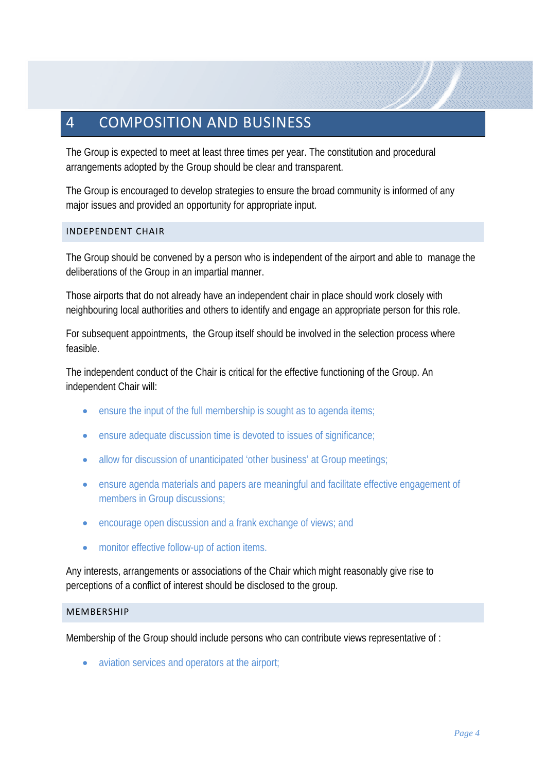## 4 COMPOSITION AND BUSINESS

The Group is expected to meet at least three times per year. The constitution and procedural arrangements adopted by the Group should be clear and transparent.

The Group is encouraged to develop strategies to ensure the broad community is informed of any major issues and provided an opportunity for appropriate input.

#### INDEPENDENT CHAIR

The Group should be convened by a person who is independent of the airport and able to manage the deliberations of the Group in an impartial manner.

Those airports that do not already have an independent chair in place should work closely with neighbouring local authorities and others to identify and engage an appropriate person for this role.

For subsequent appointments, the Group itself should be involved in the selection process where feasible.

The independent conduct of the Chair is critical for the effective functioning of the Group. An independent Chair will:

- ensure the input of the full membership is sought as to agenda items;
- ensure adequate discussion time is devoted to issues of significance;
- allow for discussion of unanticipated 'other business' at Group meetings;
- ensure agenda materials and papers are meaningful and facilitate effective engagement of members in Group discussions;
- encourage open discussion and a frank exchange of views; and
- monitor effective follow-up of action items.

Any interests, arrangements or associations of the Chair which might reasonably give rise to perceptions of a conflict of interest should be disclosed to the group.

#### **MEMBERSHIP**

Membership of the Group should include persons who can contribute views representative of :

• aviation services and operators at the airport;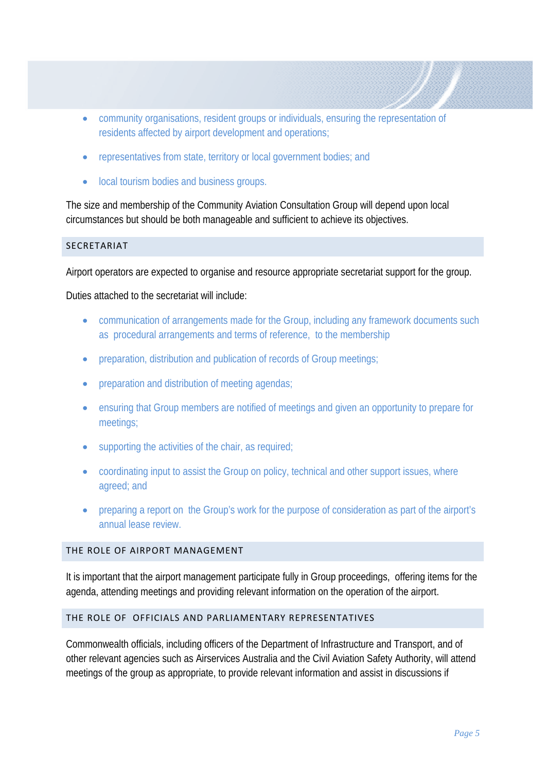- community organisations, resident groups or individuals, ensuring the representation of residents affected by airport development and operations;
- representatives from state, territory or local government bodies; and
- local tourism bodies and business groups.

The size and membership of the Community Aviation Consultation Group will depend upon local circumstances but should be both manageable and sufficient to achieve its objectives.

#### SECRETARIAT

Airport operators are expected to organise and resource appropriate secretariat support for the group.

Duties attached to the secretariat will include:

- communication of arrangements made for the Group, including any framework documents such as procedural arrangements and terms of reference, to the membership
- preparation, distribution and publication of records of Group meetings;
- preparation and distribution of meeting agendas;
- ensuring that Group members are notified of meetings and given an opportunity to prepare for meetings;
- supporting the activities of the chair, as required;
- coordinating input to assist the Group on policy, technical and other support issues, where agreed; and
- preparing a report on the Group's work for the purpose of consideration as part of the airport's annual lease review.

#### THE ROLE OF AIRPORT MANAGEMENT

It is important that the airport management participate fully in Group proceedings, offering items for the agenda, attending meetings and providing relevant information on the operation of the airport.

#### THE ROLE OF OFFICIALS AND PARLIAMENTARY REPRESENTATIVES

Commonwealth officials, including officers of the Department of Infrastructure and Transport, and of other relevant agencies such as Airservices Australia and the Civil Aviation Safety Authority, will attend meetings of the group as appropriate, to provide relevant information and assist in discussions if